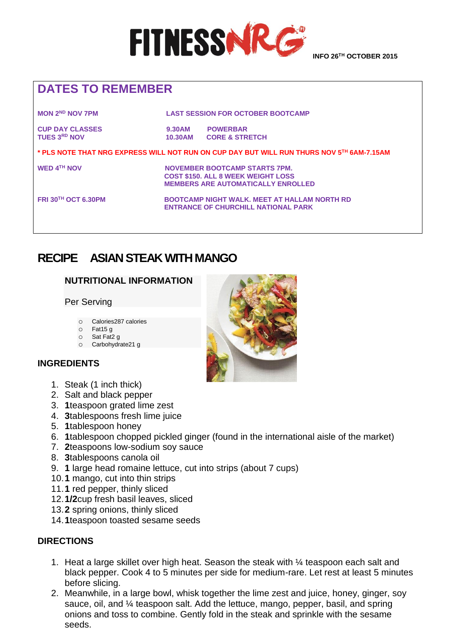

## **DATES TO REMEMBER**

**MON 2ND NOV 7PM LAST SESSION FOR OCTOBER BOOTCAMP**

**CUP DAY CLASSES 6.30AM POWERBAR<br>TUES 3<sup>RD</sup> NOV 40.30AM CORE & STR TUES 3RD NOV 10.30AM CORE & STRETCH**

**\* PLS NOTE THAT NRG EXPRESS WILL NOT RUN ON CUP DAY BUT WILL RUN THURS NOV 5TH 6AM-7.15AM**

**WED 4<sup>TH</sup> NOV CONDUCTER BOOTCAMP STARTS 7PM. COST \$150. ALL 8 WEEK WEIGHT LOSS MEMBERS ARE AUTOMATICALLY ENROLLED**

**FRI 30TH OCT 6.30PM BOOTCAMP NIGHT WALK. MEET AT HALLAM NORTH RD ENTRANCE OF CHURCHILL NATIONAL PARK** 

## **RECIPE ASIAN STEAK WITH MANGO**

#### **NUTRITIONAL INFORMATION**

Per Serving

- o Calories287 calories
- o Fat15 g
- o Sat Fat2 g
- o Carbohydrate21 g

#### **INGREDIENTS**

- 1. Steak (1 inch thick)
- 2. Salt and black pepper
- 3. **1**teaspoon grated lime zest
- 4. **3**tablespoons fresh lime juice
- 5. **1**tablespoon honey
- 6. **1**tablespoon chopped pickled ginger (found in the international aisle of the market)
- 7. **2**teaspoons low-sodium soy sauce
- 8. **3**tablespoons canola oil
- 9. **1** large head romaine lettuce, cut into strips (about 7 cups)
- 10.**1** mango, cut into thin strips
- 11.**1** red pepper, thinly sliced
- 12.**1/2**cup fresh basil leaves, sliced
- 13.**2** spring onions, thinly sliced
- 14.**1**teaspoon toasted sesame seeds

#### **DIRECTIONS**

- 1. Heat a large skillet over high heat. Season the steak with ¼ teaspoon each salt and black pepper. Cook 4 to 5 minutes per side for medium-rare. Let rest at least 5 minutes before slicing.
- 2. Meanwhile, in a large bowl, whisk together the lime zest and juice, honey, ginger, soy sauce, oil, and ¼ teaspoon salt. Add the lettuce, mango, pepper, basil, and spring onions and toss to combine. Gently fold in the steak and sprinkle with the sesame seeds.

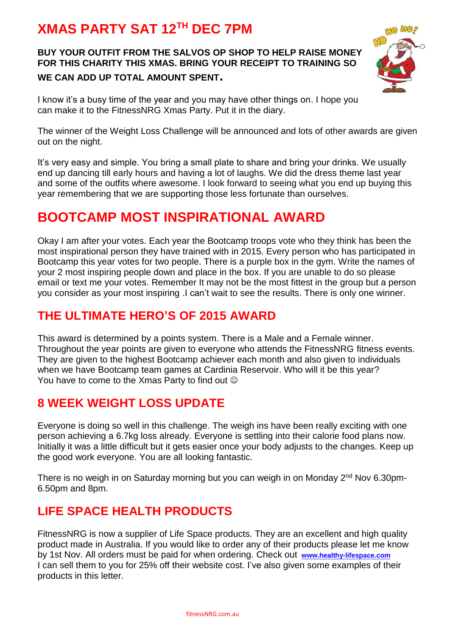## **XMAS PARTY SAT 12TH DEC 7PM**

#### **BUY YOUR OUTFIT FROM THE SALVOS OP SHOP TO HELP RAISE MONEY FOR THIS CHARITY THIS XMAS. BRING YOUR RECEIPT TO TRAINING SO WE CAN ADD UP TOTAL AMOUNT SPENT.**



I know it's a busy time of the year and you may have other things on. I hope you can make it to the FitnessNRG Xmas Party. Put it in the diary.

The winner of the Weight Loss Challenge will be announced and lots of other awards are given out on the night.

It's very easy and simple. You bring a small plate to share and bring your drinks. We usually end up dancing till early hours and having a lot of laughs. We did the dress theme last year and some of the outfits where awesome. I look forward to seeing what you end up buying this year remembering that we are supporting those less fortunate than ourselves.

## **BOOTCAMP MOST INSPIRATIONAL AWARD**

Okay I am after your votes. Each year the Bootcamp troops vote who they think has been the most inspirational person they have trained with in 2015. Every person who has participated in Bootcamp this year votes for two people. There is a purple box in the gym. Write the names of your 2 most inspiring people down and place in the box. If you are unable to do so please email or text me your votes. Remember It may not be the most fittest in the group but a person you consider as your most inspiring .I can't wait to see the results. There is only one winner.

#### **THE ULTIMATE HERO'S OF 2015 AWARD**

This award is determined by a points system. There is a Male and a Female winner. Throughout the year points are given to everyone who attends the FitnessNRG fitness events. They are given to the highest Bootcamp achiever each month and also given to individuals when we have Bootcamp team games at Cardinia Reservoir. Who will it be this year? You have to come to the Xmas Party to find out  $\odot$ 

## **8 WEEK WEIGHT LOSS UPDATE**

Everyone is doing so well in this challenge. The weigh ins have been really exciting with one person achieving a 6.7kg loss already. Everyone is settling into their calorie food plans now. Initially it was a little difficult but it gets easier once your body adjusts to the changes. Keep up the good work everyone. You are all looking fantastic.

There is no weigh in on Saturday morning but you can weigh in on Monday 2<sup>nd</sup> Nov 6.30pm-6.50pm and 8pm.

### **LIFE SPACE HEALTH PRODUCTS**

FitnessNRG is now a supplier of Life Space products. They are an excellent and high quality product made in Australia. If you would like to order any of their products please let me know by 1st Nov. All orders must be paid for when ordering. Check out **[www.healthy-lifespace.com](http://www.healthy-lifespace.com/)**  I can sell them to you for 25% off their website cost. I've also given some examples of their products in this letter.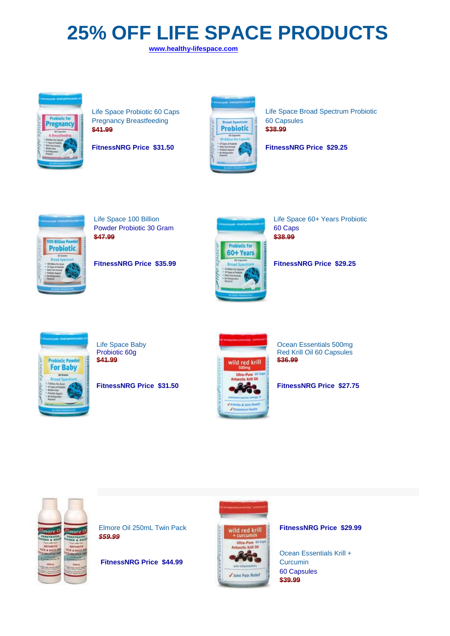# **25% OFF LIFE SPACE PRODUCTS**

 **[www.healthy-lifespace.com](http://www.healthy-lifespace.com/)**



Pregnancy Breastfeeding **1996 Capsules** 60 Capsules **\$41.99 \$41.99 \$10.00 \$41.99 \$10.00 \$10.00 \$38.99** 



[Life Space Probiotic 60 Caps](http://store.evolutionhealth.com.au/life-space-pregnancy-breastfeeding-probiotic-60-caps/) Life Space Broad Spectrum Probiotic

| <b>FitnessNRG Price \$31.50</b> | <b>FitnessNRG Price \$29.25</b> |
|---------------------------------|---------------------------------|
|---------------------------------|---------------------------------|



Powder Probiotic 30 Gram 60 Caps<br>\$47.99 60 Caps **\$47.99 \$38.99**



[Life Space 100 Billion](http://store.evolutionhealth.com.au/life-space-100-billion-powder-probiotic-30-gram/) Life Space 60+ Years Probiotic

**FitnessNRG Price \$35.99 FitnessNRG Price \$29.25**



FitnessNRGPrice \$31.50



[Life Space Baby](http://store.evolutionhealth.com.au/life-space-baby-probiotic-60g/) **Care and Contact Contact Contact Contact Contact Contact Contact Contact Contact Contact Contact Contact Contact Contact Contact Contact Contact Contact Contact Contact Contact Contact Contact Contact Cont** Probiotic 60g **Red Krill Oil 60 Capsules**<br>
<del>\$41.99</del> Red Krill Oil 60 Capsules

**FitnessNRG Price \$31.50 FitnessNRG Price \$27.75** 



[Elmore Oil 250mL Twin Pack](http://store.evolutionhealth.com.au/elmore-oil-250ml/) **FitnessNRG Price \$29.99** *\$59.99*

**[FitnessNRG Price \\$44.99](http://store.evolutionhealth.com.au/ocean-essentials-krill-curcumin-60-capsules/)** [Curcumin](http://store.evolutionhealth.com.au/ocean-essentials-krill-curcumin-60-capsules/) 



[Ocean Essentials Krill +](http://store.evolutionhealth.com.au/ocean-essentials-krill-curcumin-60-capsules/)